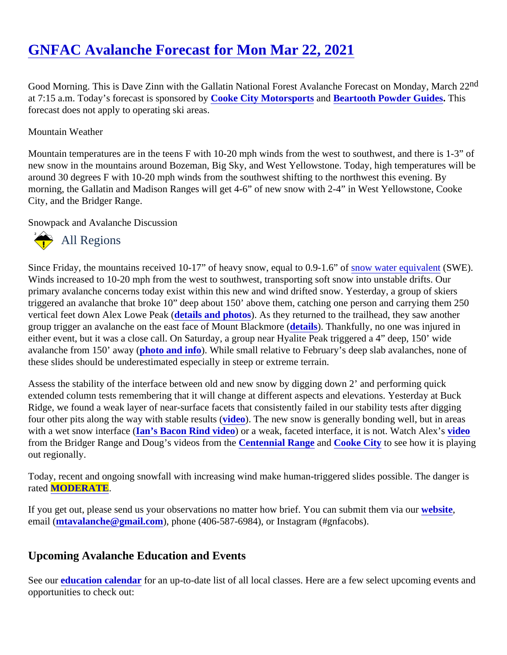Good Morning. This is Dave Zinn with the Gallatin National Forest Avalanche Forecast on Monday, March 22 at 7:15 a.m. Today's forecast is sponsore Cbyke City Motorsports and [Beartooth Powder Guides](http://beartoothpowder.com/) This forecast does not apply to operating ski areas.

## Mountain Weather

Mountain temperatures are in the teens F with 10-20 mph winds from the west to southwest, and there is 1-3' new snow in the mountains around Bozeman, Big Sky, and West Yellowstone. Today, high temperatures will around 30 degrees F with 10-20 mph winds from the southwest shifting to the northwest this evening. By morning, the Gallatin and Madison Ranges will get 4-6" of new snow with 2-4" in West Yellowstone, Cooke City, and the Bridger Range.

Snowpack and Avalanche Discussion

## All Regions

Since Friday, the mountains received 10-17" of heavy snow, equal to 0.9-*trod wofwater equivalen* (SWE). Winds increased to 10-20 mph from the west to southwest, transporting soft snow into unstable drifts. Our primary avalanche concerns today exist within this new and wind drifted snow. Yesterday, a group of skiers triggered an avalanche that broke 10" deep about 150' above them, catching one person and carrying them 2 vertical feet down Alex Lowe Peak (tails and photos). As they returned to the trailhead, they saw another group trigger an avalanche on the east face of Mount Blackmore (6). Thankfully, no one was injured in either event, but it was a close call. On Saturday, a group near Hyalite Peak triggered a 4" deep, 150' wide avalanche from 150' awa[photo and info](https://www.mtavalanche.com/node/24668)). While small relative to February's deep slab avalanches, none of these slides should be underestimated especially in steep or extreme terrain.

Assess the stability of the interface between old and new snow by digging down 2' and performing quick extended column tests remembering that it will change at different aspects and elevations. Yesterday at Buck Ridge, we found a weak layer of near-surface facets that consistently failed in our stability tests after digging four other pits along the way with stable results  $( \phi)$ . The new snow is generally bonding well, but in areas with a wet snow interface (n's Bacon Rind vided or a weak, faceted interface, it is not. Watch Alexideo from the Bridger Range and Doug's videos from the tennial Range an[d Cooke City](https://www.youtube.com/watch?v=VQd7lPN6zTQ&list=PLXu5151nmAvQDzKmH5K3ZS8Gg3DzwsZ3O&index=4) to see how it is playing out regionally.

Today, recent and ongoing snowfall with increasing wind make human-triggered slides possible. The danger rated **MODERATE**.

If you get out, please send us your observations no matter how brief. You can submit them velasion email [\(mtavalanche@gmail.com](mailto:mtavalanche@gmail.com)), phone (406-587-6984), or Instagram (#gnfacobs).

## Upcoming Avalanche Education and Events

See oureducation calendarfor an up-to-date list of all local classes. Here are a few select upcoming events an opportunities to check out: